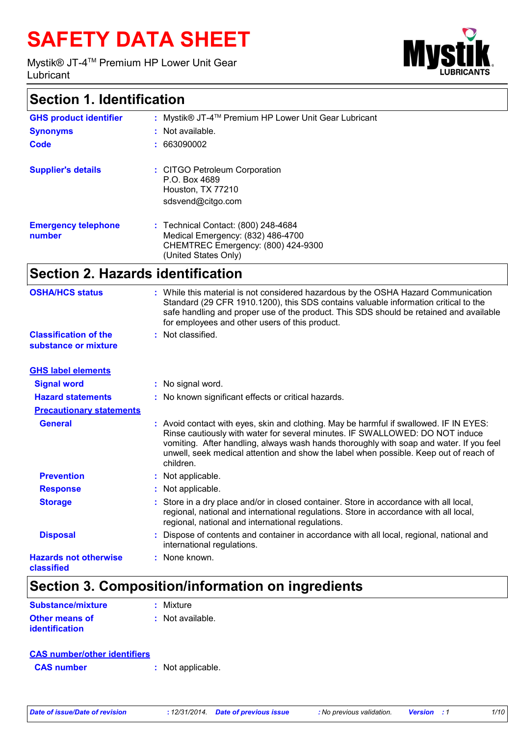# **SAFETY DATA SHEET**

Mystik® JT-4TM Premium HP Lower Unit Gear Lubricant



### **Section 1. Identification**

| <b>GHS product identifier</b>        | : Mystik® JT-4™ Premium HP Lower Unit Gear Lubricant                                                                                   |
|--------------------------------------|----------------------------------------------------------------------------------------------------------------------------------------|
| <b>Synonyms</b>                      | : Not available.                                                                                                                       |
| Code                                 | : 663090002                                                                                                                            |
| <b>Supplier's details</b>            | : CITGO Petroleum Corporation<br>P.O. Box 4689<br>Houston, TX 77210<br>sdsvend@citgo.com                                               |
| <b>Emergency telephone</b><br>number | : Technical Contact: (800) 248-4684<br>Medical Emergency: (832) 486-4700<br>CHEMTREC Emergency: (800) 424-9300<br>(United States Only) |

### **Section 2. Hazards identification**

| <b>OSHA/HCS status</b>                               | : While this material is not considered hazardous by the OSHA Hazard Communication<br>Standard (29 CFR 1910.1200), this SDS contains valuable information critical to the<br>safe handling and proper use of the product. This SDS should be retained and available<br>for employees and other users of this product.                                                   |
|------------------------------------------------------|-------------------------------------------------------------------------------------------------------------------------------------------------------------------------------------------------------------------------------------------------------------------------------------------------------------------------------------------------------------------------|
| <b>Classification of the</b><br>substance or mixture | : Not classified.                                                                                                                                                                                                                                                                                                                                                       |
| <b>GHS label elements</b>                            |                                                                                                                                                                                                                                                                                                                                                                         |
| <b>Signal word</b>                                   | : No signal word.                                                                                                                                                                                                                                                                                                                                                       |
| <b>Hazard statements</b>                             | : No known significant effects or critical hazards.                                                                                                                                                                                                                                                                                                                     |
| <b>Precautionary statements</b>                      |                                                                                                                                                                                                                                                                                                                                                                         |
| <b>General</b>                                       | : Avoid contact with eyes, skin and clothing. May be harmful if swallowed. IF IN EYES:<br>Rinse cautiously with water for several minutes. IF SWALLOWED: DO NOT induce<br>vomiting. After handling, always wash hands thoroughly with soap and water. If you feel<br>unwell, seek medical attention and show the label when possible. Keep out of reach of<br>children. |
| <b>Prevention</b>                                    | : Not applicable.                                                                                                                                                                                                                                                                                                                                                       |
| <b>Response</b>                                      | : Not applicable.                                                                                                                                                                                                                                                                                                                                                       |
| <b>Storage</b>                                       | : Store in a dry place and/or in closed container. Store in accordance with all local,<br>regional, national and international regulations. Store in accordance with all local,<br>regional, national and international regulations.                                                                                                                                    |
| <b>Disposal</b>                                      | Dispose of contents and container in accordance with all local, regional, national and<br>international regulations.                                                                                                                                                                                                                                                    |
| <b>Hazards not otherwise</b><br>classified           | : None known.                                                                                                                                                                                                                                                                                                                                                           |

# **Section 3. Composition/information on ingredients**

| <b>Substance/mixture</b>                | : Mixture          |
|-----------------------------------------|--------------------|
| <b>Other means of</b><br>identification | $:$ Not available. |

| <b>CAS number/other identifiers</b> |                   |
|-------------------------------------|-------------------|
| <b>CAS</b> number                   | : Not applicable. |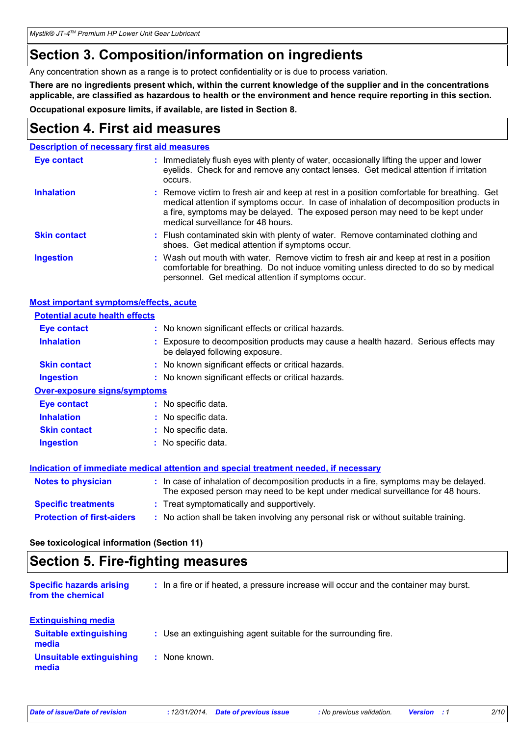*Mystik® JT-4TM Premium HP Lower Unit Gear Lubricant*

### **Section 3. Composition/information on ingredients**

Any concentration shown as a range is to protect confidentiality or is due to process variation.

**There are no ingredients present which, within the current knowledge of the supplier and in the concentrations applicable, are classified as hazardous to health or the environment and hence require reporting in this section.**

**Occupational exposure limits, if available, are listed in Section 8.**

### **Section 4. First aid measures**

|                     | <b>Description of necessary first aid measures</b>                                                                                                                                                                                                                                                           |
|---------------------|--------------------------------------------------------------------------------------------------------------------------------------------------------------------------------------------------------------------------------------------------------------------------------------------------------------|
| <b>Eye contact</b>  | : Immediately flush eyes with plenty of water, occasionally lifting the upper and lower<br>eyelids. Check for and remove any contact lenses. Get medical attention if irritation<br>occurs.                                                                                                                  |
| <b>Inhalation</b>   | : Remove victim to fresh air and keep at rest in a position comfortable for breathing. Get<br>medical attention if symptoms occur. In case of inhalation of decomposition products in<br>a fire, symptoms may be delayed. The exposed person may need to be kept under<br>medical surveillance for 48 hours. |
| <b>Skin contact</b> | : Flush contaminated skin with plenty of water. Remove contaminated clothing and<br>shoes. Get medical attention if symptoms occur.                                                                                                                                                                          |
| <b>Ingestion</b>    | : Wash out mouth with water. Remove victim to fresh air and keep at rest in a position<br>comfortable for breathing. Do not induce vomiting unless directed to do so by medical<br>personnel. Get medical attention if symptoms occur.                                                                       |

#### **Most important symptoms/effects, acute**

| <b>Potential acute health effects</b>                                                |  |                                                                                                                                                                          |  |
|--------------------------------------------------------------------------------------|--|--------------------------------------------------------------------------------------------------------------------------------------------------------------------------|--|
| Eye contact                                                                          |  | : No known significant effects or critical hazards.                                                                                                                      |  |
| <b>Inhalation</b>                                                                    |  | Exposure to decomposition products may cause a health hazard. Serious effects may<br>be delayed following exposure.                                                      |  |
| <b>Skin contact</b>                                                                  |  | : No known significant effects or critical hazards.                                                                                                                      |  |
| <b>Ingestion</b>                                                                     |  | : No known significant effects or critical hazards.                                                                                                                      |  |
| <b>Over-exposure signs/symptoms</b>                                                  |  |                                                                                                                                                                          |  |
| <b>Eye contact</b>                                                                   |  | : No specific data.                                                                                                                                                      |  |
| <b>Inhalation</b>                                                                    |  | : No specific data.                                                                                                                                                      |  |
| <b>Skin contact</b>                                                                  |  | : No specific data.                                                                                                                                                      |  |
| <b>Ingestion</b>                                                                     |  | : No specific data.                                                                                                                                                      |  |
| Indication of immediate medical attention and special treatment needed, if necessary |  |                                                                                                                                                                          |  |
| <b>Notes to physician</b>                                                            |  | : In case of inhalation of decomposition products in a fire, symptoms may be delayed.<br>The exposed person may need to be kept under medical surveillance for 48 hours. |  |
| <b>Specific treatments</b>                                                           |  | : Treat symptomatically and supportively.                                                                                                                                |  |
| <b>Protection of first-aiders</b>                                                    |  | : No action shall be taken involving any personal risk or without suitable training.                                                                                     |  |

#### **See toxicological information (Section 11)**

### **Section 5. Fire-fighting measures**

| <b>Specific hazards arising</b><br>from the chemical | : In a fire or if heated, a pressure increase will occur and the container may burst. |
|------------------------------------------------------|---------------------------------------------------------------------------------------|
| <b>Extinguishing media</b>                           |                                                                                       |
| <b>Suitable extinguishing</b><br>media               | : Use an extinguishing agent suitable for the surrounding fire.                       |
| <b>Unsuitable extinguishing</b><br>media             | : None known.                                                                         |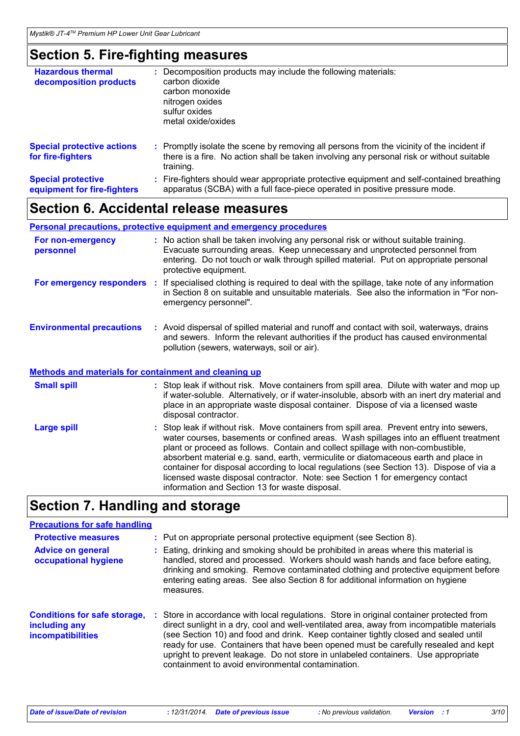# **Section 5. Fire-fighting measures**

| <b>Hazardous thermal</b><br>decomposition products       | t. | Decomposition products may include the following materials:<br>carbon dioxide<br>carbon monoxide<br>nitrogen oxides<br>sulfur oxides<br>metal oxide/oxides                                          |
|----------------------------------------------------------|----|-----------------------------------------------------------------------------------------------------------------------------------------------------------------------------------------------------|
| <b>Special protective actions</b><br>for fire-fighters   |    | : Promptly isolate the scene by removing all persons from the vicinity of the incident if<br>there is a fire. No action shall be taken involving any personal risk or without suitable<br>training. |
| <b>Special protective</b><br>equipment for fire-fighters | ÷. | Fire-fighters should wear appropriate protective equipment and self-contained breathing<br>apparatus (SCBA) with a full face-piece operated in positive pressure mode.                              |

### **Section 6. Accidental release measures**

|                                                              | <b>Personal precautions, protective equipment and emergency procedures</b>                                                                                                                                                                                                                                                                                                                                                                                                                                                                                                                 |
|--------------------------------------------------------------|--------------------------------------------------------------------------------------------------------------------------------------------------------------------------------------------------------------------------------------------------------------------------------------------------------------------------------------------------------------------------------------------------------------------------------------------------------------------------------------------------------------------------------------------------------------------------------------------|
| For non-emergency<br>personnel                               | : No action shall be taken involving any personal risk or without suitable training.<br>Evacuate surrounding areas. Keep unnecessary and unprotected personnel from<br>entering. Do not touch or walk through spilled material. Put on appropriate personal<br>protective equipment.                                                                                                                                                                                                                                                                                                       |
| For emergency responders                                     | If specialised clothing is required to deal with the spillage, take note of any information<br><b>A</b><br>in Section 8 on suitable and unsuitable materials. See also the information in "For non-<br>emergency personnel".                                                                                                                                                                                                                                                                                                                                                               |
| <b>Environmental precautions</b>                             | : Avoid dispersal of spilled material and runoff and contact with soil, waterways, drains<br>and sewers. Inform the relevant authorities if the product has caused environmental<br>pollution (sewers, waterways, soil or air).                                                                                                                                                                                                                                                                                                                                                            |
| <b>Methods and materials for containment and cleaning up</b> |                                                                                                                                                                                                                                                                                                                                                                                                                                                                                                                                                                                            |
| <b>Small spill</b>                                           | : Stop leak if without risk. Move containers from spill area. Dilute with water and mop up<br>if water-soluble. Alternatively, or if water-insoluble, absorb with an inert dry material and<br>place in an appropriate waste disposal container. Dispose of via a licensed waste<br>disposal contractor.                                                                                                                                                                                                                                                                                   |
| <b>Large spill</b>                                           | : Stop leak if without risk. Move containers from spill area. Prevent entry into sewers,<br>water courses, basements or confined areas. Wash spillages into an effluent treatment<br>plant or proceed as follows. Contain and collect spillage with non-combustible,<br>absorbent material e.g. sand, earth, vermiculite or diatomaceous earth and place in<br>container for disposal according to local regulations (see Section 13). Dispose of via a<br>licensed waste disposal contractor. Note: see Section 1 for emergency contact<br>information and Section 13 for waste disposal. |

# **Section 7. Handling and storage**

| <b>Precautions for safe handling</b>                                      |                                                                                                                                                                                                                                                                                                                                                                                                                                                                                                             |
|---------------------------------------------------------------------------|-------------------------------------------------------------------------------------------------------------------------------------------------------------------------------------------------------------------------------------------------------------------------------------------------------------------------------------------------------------------------------------------------------------------------------------------------------------------------------------------------------------|
| <b>Protective measures</b>                                                | : Put on appropriate personal protective equipment (see Section 8).                                                                                                                                                                                                                                                                                                                                                                                                                                         |
| <b>Advice on general</b><br>occupational hygiene                          | Eating, drinking and smoking should be prohibited in areas where this material is<br>handled, stored and processed. Workers should wash hands and face before eating,<br>drinking and smoking. Remove contaminated clothing and protective equipment before<br>entering eating areas. See also Section 8 for additional information on hygiene<br>measures.                                                                                                                                                 |
| <b>Conditions for safe storage,</b><br>including any<br>incompatibilities | Store in accordance with local regulations. Store in original container protected from<br>direct sunlight in a dry, cool and well-ventilated area, away from incompatible materials<br>(see Section 10) and food and drink. Keep container tightly closed and sealed until<br>ready for use. Containers that have been opened must be carefully resealed and kept<br>upright to prevent leakage. Do not store in unlabeled containers. Use appropriate<br>containment to avoid environmental contamination. |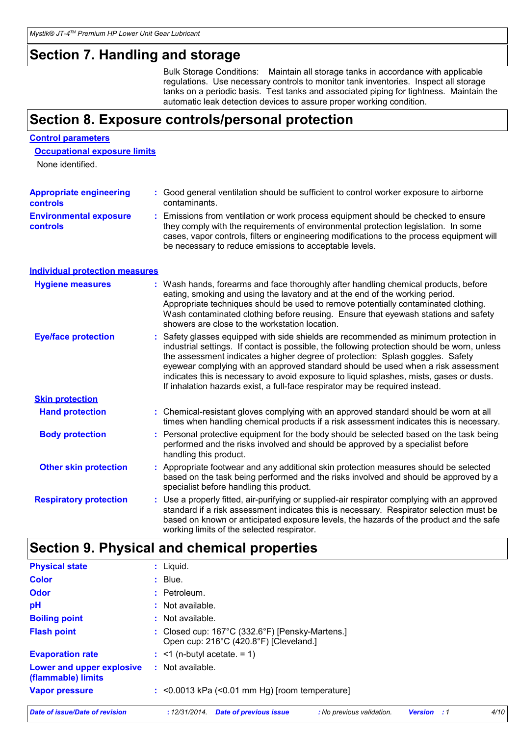### **Section 7. Handling and storage**

Bulk Storage Conditions: Maintain all storage tanks in accordance with applicable regulations. Use necessary controls to monitor tank inventories. Inspect all storage tanks on a periodic basis. Test tanks and associated piping for tightness. Maintain the automatic leak detection devices to assure proper working condition.

### **Section 8. Exposure controls/personal protection**

#### **Control parameters**

#### **Occupational exposure limits**

None identified.

| <b>Appropriate engineering</b>                   | : Good general ventilation should be sufficient to control worker exposure to airborne                                                                                                                                                                                                                                          |
|--------------------------------------------------|---------------------------------------------------------------------------------------------------------------------------------------------------------------------------------------------------------------------------------------------------------------------------------------------------------------------------------|
| <b>controls</b>                                  | contaminants.                                                                                                                                                                                                                                                                                                                   |
| <b>Environmental exposure</b><br><b>controls</b> | : Emissions from ventilation or work process equipment should be checked to ensure<br>they comply with the requirements of environmental protection legislation. In some<br>cases, vapor controls, filters or engineering modifications to the process equipment will<br>be necessary to reduce emissions to acceptable levels. |

#### **Individual protection measures**

| <b>Hygiene measures</b>       | : Wash hands, forearms and face thoroughly after handling chemical products, before<br>eating, smoking and using the lavatory and at the end of the working period.<br>Appropriate techniques should be used to remove potentially contaminated clothing.<br>Wash contaminated clothing before reusing. Ensure that eyewash stations and safety<br>showers are close to the workstation location.                                                                                                                                       |
|-------------------------------|-----------------------------------------------------------------------------------------------------------------------------------------------------------------------------------------------------------------------------------------------------------------------------------------------------------------------------------------------------------------------------------------------------------------------------------------------------------------------------------------------------------------------------------------|
| <b>Eye/face protection</b>    | : Safety glasses equipped with side shields are recommended as minimum protection in<br>industrial settings. If contact is possible, the following protection should be worn, unless<br>the assessment indicates a higher degree of protection: Splash goggles. Safety<br>eyewear complying with an approved standard should be used when a risk assessment<br>indicates this is necessary to avoid exposure to liquid splashes, mists, gases or dusts.<br>If inhalation hazards exist, a full-face respirator may be required instead. |
| <b>Skin protection</b>        |                                                                                                                                                                                                                                                                                                                                                                                                                                                                                                                                         |
| <b>Hand protection</b>        | : Chemical-resistant gloves complying with an approved standard should be worn at all<br>times when handling chemical products if a risk assessment indicates this is necessary.                                                                                                                                                                                                                                                                                                                                                        |
| <b>Body protection</b>        | : Personal protective equipment for the body should be selected based on the task being<br>performed and the risks involved and should be approved by a specialist before<br>handling this product.                                                                                                                                                                                                                                                                                                                                     |
| <b>Other skin protection</b>  | : Appropriate footwear and any additional skin protection measures should be selected<br>based on the task being performed and the risks involved and should be approved by a<br>specialist before handling this product.                                                                                                                                                                                                                                                                                                               |
| <b>Respiratory protection</b> | : Use a properly fitted, air-purifying or supplied-air respirator complying with an approved<br>standard if a risk assessment indicates this is necessary. Respirator selection must be<br>based on known or anticipated exposure levels, the hazards of the product and the safe<br>working limits of the selected respirator.                                                                                                                                                                                                         |

# **Section 9. Physical and chemical properties**

| <b>Physical state</b>                           | $:$ Liquid.                   |                                                                                                     |                           |                |            |      |
|-------------------------------------------------|-------------------------------|-----------------------------------------------------------------------------------------------------|---------------------------|----------------|------------|------|
| <b>Color</b>                                    | $:$ Blue.                     |                                                                                                     |                           |                |            |      |
| Odor                                            | : Petroleum.                  |                                                                                                     |                           |                |            |      |
| рH                                              | : Not available.              |                                                                                                     |                           |                |            |      |
| <b>Boiling point</b>                            | : Not available.              |                                                                                                     |                           |                |            |      |
| <b>Flash point</b>                              |                               | : Closed cup: $167^{\circ}$ C (332.6°F) [Pensky-Martens.]<br>Open cup: 216°C (420.8°F) [Cleveland.] |                           |                |            |      |
| <b>Evaporation rate</b>                         | $:$ <1 (n-butyl acetate. = 1) |                                                                                                     |                           |                |            |      |
| Lower and upper explosive<br>(flammable) limits | : Not available.              |                                                                                                     |                           |                |            |      |
| <b>Vapor pressure</b>                           |                               | $\approx$ <0.0013 kPa (<0.01 mm Hg) [room temperature]                                              |                           |                |            |      |
| Date of issue/Date of revision                  | : 12/31/2014.                 | <b>Date of previous issue</b>                                                                       | : No previous validation. | <b>Version</b> | $\cdot$ :1 | 4/10 |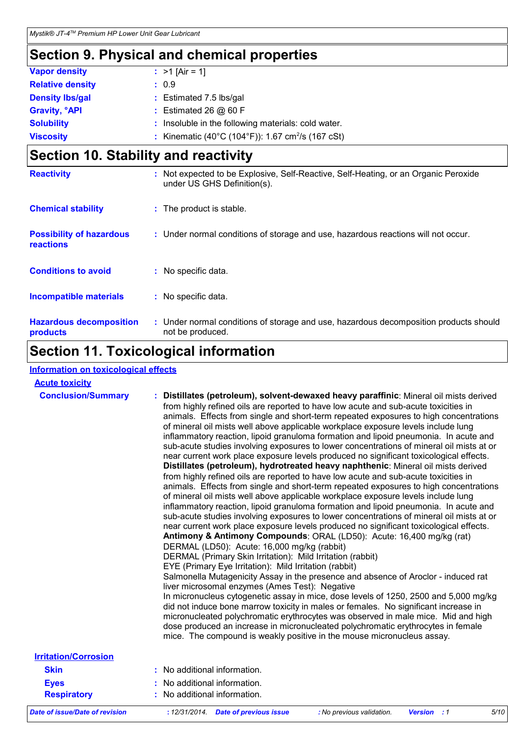# **Section 9. Physical and chemical properties**

| <b>Vapor density</b><br>: $>1$ [Air = 1]<br><b>Relative density</b><br>: 0.9<br><b>Density Ibs/gal</b><br>: Estimated 7.5 lbs/gal |  |
|-----------------------------------------------------------------------------------------------------------------------------------|--|
|                                                                                                                                   |  |
|                                                                                                                                   |  |
|                                                                                                                                   |  |
| <b>Gravity, <sup>o</sup>API</b><br>: Estimated 26 $@$ 60 F                                                                        |  |
| <b>Solubility</b><br>Insoluble in the following materials: cold water.                                                            |  |
| : Kinematic (40°C (104°F)): 1.67 cm <sup>2</sup> /s (167 cSt)<br><b>Viscosity</b>                                                 |  |

# **Section 10. Stability and reactivity**

| <b>Reactivity</b>                                   | : Not expected to be Explosive, Self-Reactive, Self-Heating, or an Organic Peroxide<br>under US GHS Definition(s). |
|-----------------------------------------------------|--------------------------------------------------------------------------------------------------------------------|
| <b>Chemical stability</b>                           | : The product is stable.                                                                                           |
| <b>Possibility of hazardous</b><br><b>reactions</b> | : Under normal conditions of storage and use, hazardous reactions will not occur.                                  |
| <b>Conditions to avoid</b>                          | : No specific data.                                                                                                |
| <b>Incompatible materials</b>                       | : No specific data.                                                                                                |
| <b>Hazardous decomposition</b><br>products          | : Under normal conditions of storage and use, hazardous decomposition products should<br>not be produced.          |

### **Section 11. Toxicological information**

#### **Information on toxicological effects**

| <b>Acute toxicity</b>                 |                                                                                                                                                                                                                                                                                                                                                                                                                                                                                                                                                                                                                                                                                                                                                                                                                                                                                                                                                                                                                                                                                                                                                                                                                                                                                                                                                                                                                                                                                                                                                                                                                                                                                                                                                                                                                                                                                                                                                                                                                                                                                                           |
|---------------------------------------|-----------------------------------------------------------------------------------------------------------------------------------------------------------------------------------------------------------------------------------------------------------------------------------------------------------------------------------------------------------------------------------------------------------------------------------------------------------------------------------------------------------------------------------------------------------------------------------------------------------------------------------------------------------------------------------------------------------------------------------------------------------------------------------------------------------------------------------------------------------------------------------------------------------------------------------------------------------------------------------------------------------------------------------------------------------------------------------------------------------------------------------------------------------------------------------------------------------------------------------------------------------------------------------------------------------------------------------------------------------------------------------------------------------------------------------------------------------------------------------------------------------------------------------------------------------------------------------------------------------------------------------------------------------------------------------------------------------------------------------------------------------------------------------------------------------------------------------------------------------------------------------------------------------------------------------------------------------------------------------------------------------------------------------------------------------------------------------------------------------|
| <b>Conclusion/Summary</b>             | Distillates (petroleum), solvent-dewaxed heavy paraffinic: Mineral oil mists derived<br>from highly refined oils are reported to have low acute and sub-acute toxicities in<br>animals. Effects from single and short-term repeated exposures to high concentrations<br>of mineral oil mists well above applicable workplace exposure levels include lung<br>inflammatory reaction, lipoid granuloma formation and lipoid pneumonia. In acute and<br>sub-acute studies involving exposures to lower concentrations of mineral oil mists at or<br>near current work place exposure levels produced no significant toxicological effects.<br>Distillates (petroleum), hydrotreated heavy naphthenic: Mineral oil mists derived<br>from highly refined oils are reported to have low acute and sub-acute toxicities in<br>animals. Effects from single and short-term repeated exposures to high concentrations<br>of mineral oil mists well above applicable workplace exposure levels include lung<br>inflammatory reaction, lipoid granuloma formation and lipoid pneumonia. In acute and<br>sub-acute studies involving exposures to lower concentrations of mineral oil mists at or<br>near current work place exposure levels produced no significant toxicological effects.<br>Antimony & Antimony Compounds: ORAL (LD50): Acute: 16,400 mg/kg (rat)<br>DERMAL (LD50): Acute: 16,000 mg/kg (rabbit)<br>DERMAL (Primary Skin Irritation): Mild Irritation (rabbit)<br>EYE (Primary Eye Irritation): Mild Irritation (rabbit)<br>Salmonella Mutagenicity Assay in the presence and absence of Aroclor - induced rat<br>liver microsomal enzymes (Ames Test): Negative<br>In micronucleus cytogenetic assay in mice, dose levels of 1250, 2500 and 5,000 mg/kg<br>did not induce bone marrow toxicity in males or females. No significant increase in<br>micronucleated polychromatic erythrocytes was observed in male mice. Mid and high<br>dose produced an increase in micronucleated polychromatic erythrocytes in female<br>mice. The compound is weakly positive in the mouse micronucleus assay. |
| <b>Irritation/Corrosion</b>           |                                                                                                                                                                                                                                                                                                                                                                                                                                                                                                                                                                                                                                                                                                                                                                                                                                                                                                                                                                                                                                                                                                                                                                                                                                                                                                                                                                                                                                                                                                                                                                                                                                                                                                                                                                                                                                                                                                                                                                                                                                                                                                           |
| <b>Skin</b>                           | No additional information.                                                                                                                                                                                                                                                                                                                                                                                                                                                                                                                                                                                                                                                                                                                                                                                                                                                                                                                                                                                                                                                                                                                                                                                                                                                                                                                                                                                                                                                                                                                                                                                                                                                                                                                                                                                                                                                                                                                                                                                                                                                                                |
| <b>Eyes</b>                           | No additional information.                                                                                                                                                                                                                                                                                                                                                                                                                                                                                                                                                                                                                                                                                                                                                                                                                                                                                                                                                                                                                                                                                                                                                                                                                                                                                                                                                                                                                                                                                                                                                                                                                                                                                                                                                                                                                                                                                                                                                                                                                                                                                |
| <b>Respiratory</b>                    | No additional information.                                                                                                                                                                                                                                                                                                                                                                                                                                                                                                                                                                                                                                                                                                                                                                                                                                                                                                                                                                                                                                                                                                                                                                                                                                                                                                                                                                                                                                                                                                                                                                                                                                                                                                                                                                                                                                                                                                                                                                                                                                                                                |
| <b>Date of issue/Date of revision</b> | 5/10<br>: 12/31/2014 Date of previous issue<br>: No previous validation.<br><b>Version</b> : 1                                                                                                                                                                                                                                                                                                                                                                                                                                                                                                                                                                                                                                                                                                                                                                                                                                                                                                                                                                                                                                                                                                                                                                                                                                                                                                                                                                                                                                                                                                                                                                                                                                                                                                                                                                                                                                                                                                                                                                                                            |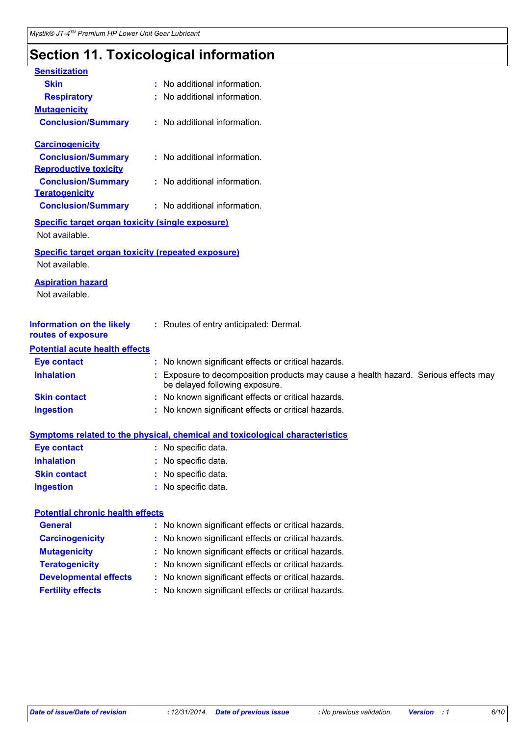# **Section 11. Toxicological information**

| <b>Sensitization</b>                                                        |                                                                                                                     |
|-----------------------------------------------------------------------------|---------------------------------------------------------------------------------------------------------------------|
| <b>Skin</b>                                                                 | : No additional information.                                                                                        |
| <b>Respiratory</b>                                                          | : No additional information.                                                                                        |
| <b>Mutagenicity</b>                                                         |                                                                                                                     |
| <b>Conclusion/Summary</b>                                                   | : No additional information.                                                                                        |
| <b>Carcinogenicity</b>                                                      |                                                                                                                     |
| <b>Conclusion/Summary</b>                                                   | : No additional information.                                                                                        |
| <b>Reproductive toxicity</b>                                                |                                                                                                                     |
| <b>Conclusion/Summary</b>                                                   | : No additional information.                                                                                        |
| <b>Teratogenicity</b>                                                       |                                                                                                                     |
| <b>Conclusion/Summary</b>                                                   | : No additional information.                                                                                        |
| Specific target organ toxicity (single exposure)<br>Not available.          |                                                                                                                     |
| <b>Specific target organ toxicity (repeated exposure)</b><br>Not available. |                                                                                                                     |
| <b>Aspiration hazard</b><br>Not available.                                  |                                                                                                                     |
| <b>Information on the likely</b><br>routes of exposure                      | : Routes of entry anticipated: Dermal.                                                                              |
| <b>Potential acute health effects</b>                                       |                                                                                                                     |
| <b>Eye contact</b>                                                          | : No known significant effects or critical hazards.                                                                 |
| <b>Inhalation</b>                                                           | Exposure to decomposition products may cause a health hazard. Serious effects may<br>be delayed following exposure. |
| <b>Skin contact</b>                                                         | : No known significant effects or critical hazards.                                                                 |
| <b>Ingestion</b>                                                            | : No known significant effects or critical hazards.                                                                 |
|                                                                             | <b>Symptoms related to the physical, chemical and toxicological characteristics</b>                                 |
| <b>Eye contact</b>                                                          | : No specific data.                                                                                                 |
| <b>Inhalation</b>                                                           | No specific data.                                                                                                   |
| <b>Skin contact</b>                                                         | No specific data.                                                                                                   |
| <b>Ingestion</b>                                                            | : No specific data.                                                                                                 |

#### **Potential chronic health effects**

| <b>General</b>               | : No known significant effects or critical hazards. |
|------------------------------|-----------------------------------------------------|
| <b>Carcinogenicity</b>       | : No known significant effects or critical hazards. |
| <b>Mutagenicity</b>          | : No known significant effects or critical hazards. |
| <b>Teratogenicity</b>        | : No known significant effects or critical hazards. |
| <b>Developmental effects</b> | : No known significant effects or critical hazards. |
| <b>Fertility effects</b>     | : No known significant effects or critical hazards. |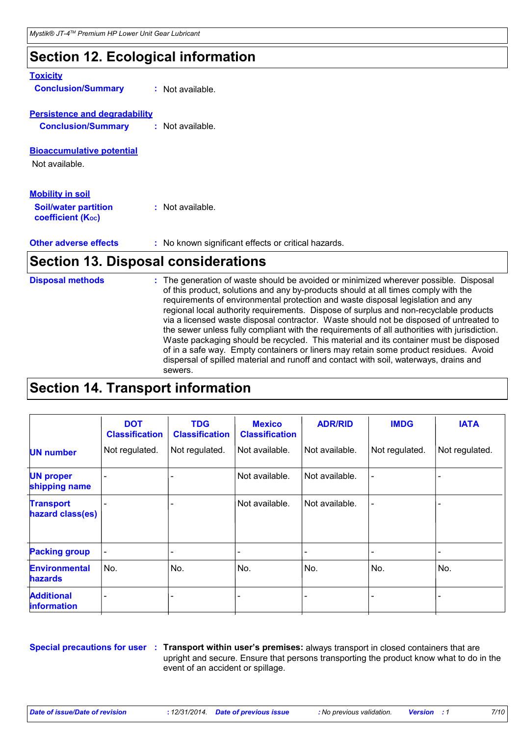### **Section 12. Ecological information**

| <b>Toxicity</b>                                                                    |                                                   |
|------------------------------------------------------------------------------------|---------------------------------------------------|
| <b>Conclusion/Summary</b>                                                          | : Not available.                                  |
| <b>Persistence and degradability</b><br><b>Conclusion/Summary</b>                  | $:$ Not available.                                |
| <b>Bioaccumulative potential</b><br>Not available.                                 |                                                   |
| <b>Mobility in soil</b><br><b>Soil/water partition</b><br><b>coefficient (Koc)</b> | $:$ Not available.                                |
| <b>Other adverse effects</b>                                                       | No known significant effects or critical hazards. |

### **Section 13. Disposal considerations**

| <b>Disposal methods</b> | : The generation of waste should be avoided or minimized wherever possible. Disposal<br>of this product, solutions and any by-products should at all times comply with the<br>requirements of environmental protection and waste disposal legislation and any<br>regional local authority requirements. Dispose of surplus and non-recyclable products<br>via a licensed waste disposal contractor. Waste should not be disposed of untreated to<br>the sewer unless fully compliant with the requirements of all authorities with jurisdiction.<br>Waste packaging should be recycled. This material and its container must be disposed<br>of in a safe way. Empty containers or liners may retain some product residues. Avoid<br>dispersal of spilled material and runoff and contact with soil, waterways, drains and<br>sewers. |
|-------------------------|--------------------------------------------------------------------------------------------------------------------------------------------------------------------------------------------------------------------------------------------------------------------------------------------------------------------------------------------------------------------------------------------------------------------------------------------------------------------------------------------------------------------------------------------------------------------------------------------------------------------------------------------------------------------------------------------------------------------------------------------------------------------------------------------------------------------------------------|
|-------------------------|--------------------------------------------------------------------------------------------------------------------------------------------------------------------------------------------------------------------------------------------------------------------------------------------------------------------------------------------------------------------------------------------------------------------------------------------------------------------------------------------------------------------------------------------------------------------------------------------------------------------------------------------------------------------------------------------------------------------------------------------------------------------------------------------------------------------------------------|

### **Section 14. Transport information**

|                                         | <b>DOT</b><br><b>Classification</b> | <b>TDG</b><br><b>Classification</b> | <b>Mexico</b><br><b>Classification</b> | <b>ADR/RID</b> | <b>IMDG</b>    | <b>IATA</b>    |
|-----------------------------------------|-------------------------------------|-------------------------------------|----------------------------------------|----------------|----------------|----------------|
| <b>UN number</b>                        | Not regulated.                      | Not regulated.                      | Not available.                         | Not available. | Not regulated. | Not regulated. |
| <b>UN proper</b><br>shipping name       |                                     |                                     | Not available.                         | Not available. |                |                |
| <b>Transport</b><br>hazard class(es)    |                                     |                                     | Not available.                         | Not available. |                |                |
| <b>Packing group</b>                    |                                     |                                     |                                        |                |                | -              |
| <b>Environmental</b><br><b>hazards</b>  | No.                                 | No.                                 | No.                                    | No.            | No.            | No.            |
| <b>Additional</b><br><b>information</b> |                                     |                                     |                                        |                |                |                |

**Special precautions for user Transport within user's premises:** always transport in closed containers that are **:** upright and secure. Ensure that persons transporting the product know what to do in the event of an accident or spillage.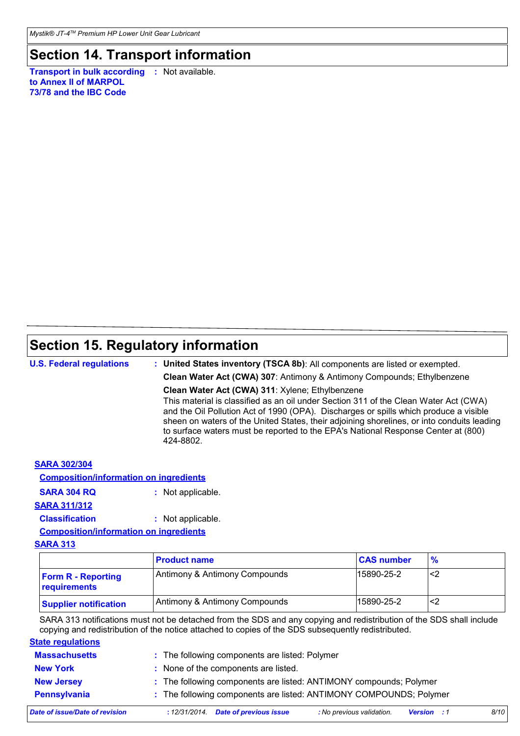### **Section 14. Transport information**

**Transport in bulk according :** Not available. **to Annex II of MARPOL 73/78 and the IBC Code**

# **Section 15. Regulatory information**

**U.S. Federal regulations**

**: United States inventory (TSCA 8b)**: All components are listed or exempted.

**Clean Water Act (CWA) 307**: Antimony & Antimony Compounds; Ethylbenzene

**Clean Water Act (CWA) 311**: Xylene; Ethylbenzene

This material is classified as an oil under Section 311 of the Clean Water Act (CWA) and the Oil Pollution Act of 1990 (OPA). Discharges or spills which produce a visible sheen on waters of the United States, their adjoining shorelines, or into conduits leading to surface waters must be reported to the EPA's National Response Center at (800) 424-8802.

#### **SARA 302/304**

**Composition/information on ingredients**

```
SARA 304 RQ : Not applicable.
```
#### **SARA 311/312**

**Classification :** Not applicable.

**Composition/information on ingredients**

#### **SARA 313**

|                                           | <b>Product name</b>           | <b>CAS number</b> | $\frac{9}{6}$ |
|-------------------------------------------|-------------------------------|-------------------|---------------|
| <b>Form R - Reporting</b><br>requirements | Antimony & Antimony Compounds | 15890-25-2        | <2            |
| <b>Supplier notification</b>              | Antimony & Antimony Compounds | 15890-25-2        | <2            |

SARA 313 notifications must not be detached from the SDS and any copying and redistribution of the SDS shall include copying and redistribution of the notice attached to copies of the SDS subsequently redistributed.

#### **State regulations**

| <b>Massachusetts</b> | : The following components are listed: Polymer                     |
|----------------------|--------------------------------------------------------------------|
| <b>New York</b>      | : None of the components are listed.                               |
| <b>New Jersey</b>    | : The following components are listed: ANTIMONY compounds; Polymer |
| <b>Pennsylvania</b>  | : The following components are listed: ANTIMONY COMPOUNDS; Polymer |
|                      |                                                                    |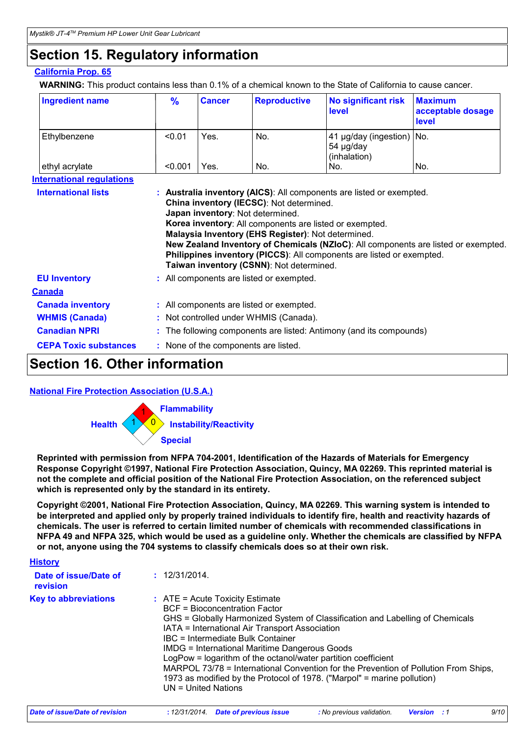### **Section 15. Regulatory information**

#### **California Prop. 65**

**WARNING:** This product contains less than 0.1% of a chemical known to the State of California to cause cancer.

| <b>Ingredient name</b> | $\frac{9}{6}$ | <b>Cancer</b> | <b>Reproductive</b> | No significant risk<br><b>level</b>                    | <b>Maximum</b><br>acceptable dosage<br><b>level</b> |
|------------------------|---------------|---------------|---------------------|--------------------------------------------------------|-----------------------------------------------------|
| Ethylbenzene           | < 0.01        | Yes.          | No.                 | 41 µg/day (ingestion) No.<br>54 µg/day<br>(inhalation) |                                                     |
| ethyl acrylate         | < 0.001       | Yes.          | No.                 | No.                                                    | No.                                                 |

| <b>International lists</b>   | : Australia inventory (AICS): All components are listed or exempted.                                                                                                                                    |  |  |
|------------------------------|---------------------------------------------------------------------------------------------------------------------------------------------------------------------------------------------------------|--|--|
|                              | China inventory (IECSC): Not determined.<br>Japan inventory: Not determined.                                                                                                                            |  |  |
|                              |                                                                                                                                                                                                         |  |  |
|                              | Korea inventory: All components are listed or exempted.                                                                                                                                                 |  |  |
|                              | Malaysia Inventory (EHS Register): Not determined.                                                                                                                                                      |  |  |
|                              | New Zealand Inventory of Chemicals (NZIoC): All components are listed or exempted.<br>Philippines inventory (PICCS): All components are listed or exempted.<br>Taiwan inventory (CSNN): Not determined. |  |  |
| <b>EU Inventory</b>          | : All components are listed or exempted.                                                                                                                                                                |  |  |
| <b>Canada</b>                |                                                                                                                                                                                                         |  |  |
| <b>Canada inventory</b>      | : All components are listed or exempted.                                                                                                                                                                |  |  |
| <b>WHMIS (Canada)</b>        | : Not controlled under WHMIS (Canada).                                                                                                                                                                  |  |  |
| <b>Canadian NPRI</b>         | : The following components are listed: Antimony (and its compounds)                                                                                                                                     |  |  |
| <b>CEPA Toxic substances</b> | : None of the components are listed.                                                                                                                                                                    |  |  |

### **Section 16. Other information**

#### **National Fire Protection Association (U.S.A.)**



**Reprinted with permission from NFPA 704-2001, Identification of the Hazards of Materials for Emergency Response Copyright ©1997, National Fire Protection Association, Quincy, MA 02269. This reprinted material is not the complete and official position of the National Fire Protection Association, on the referenced subject which is represented only by the standard in its entirety.**

**Copyright ©2001, National Fire Protection Association, Quincy, MA 02269. This warning system is intended to be interpreted and applied only by properly trained individuals to identify fire, health and reactivity hazards of chemicals. The user is referred to certain limited number of chemicals with recommended classifications in NFPA 49 and NFPA 325, which would be used as a guideline only. Whether the chemicals are classified by NFPA or not, anyone using the 704 systems to classify chemicals does so at their own risk.**

| <b>History</b>                    |                                                                                                                                                                                                                                                                                                                                                                                                                                                                                                                                                                              |
|-----------------------------------|------------------------------------------------------------------------------------------------------------------------------------------------------------------------------------------------------------------------------------------------------------------------------------------------------------------------------------------------------------------------------------------------------------------------------------------------------------------------------------------------------------------------------------------------------------------------------|
| Date of issue/Date of<br>revision | : 12/31/2014                                                                                                                                                                                                                                                                                                                                                                                                                                                                                                                                                                 |
| <b>Key to abbreviations</b>       | $\therefore$ ATE = Acute Toxicity Estimate<br><b>BCF</b> = Bioconcentration Factor<br>GHS = Globally Harmonized System of Classification and Labelling of Chemicals<br>IATA = International Air Transport Association<br>IBC = Intermediate Bulk Container<br><b>IMDG = International Maritime Dangerous Goods</b><br>LogPow = logarithm of the octanol/water partition coefficient<br>MARPOL 73/78 = International Convention for the Prevention of Pollution From Ships,<br>1973 as modified by the Protocol of 1978. ("Marpol" = marine pollution)<br>UN = United Nations |

| Date of issue/Date of revision | : 12/31/2014 Date of previous issue | No previous validation. <b>Version</b> : 1 |  | 9/10 |
|--------------------------------|-------------------------------------|--------------------------------------------|--|------|
|                                |                                     |                                            |  |      |